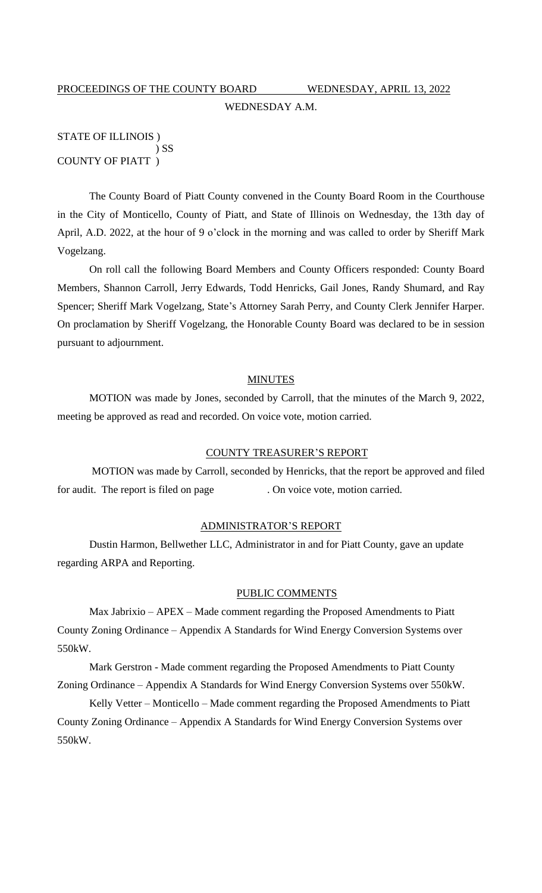# PROCEEDINGS OF THE COUNTY BOARD WEDNESDAY, APRIL 13, 2022 WEDNESDAY A.M.

# STATE OF ILLINOIS ) ) SS COUNTY OF PIATT )

The County Board of Piatt County convened in the County Board Room in the Courthouse in the City of Monticello, County of Piatt, and State of Illinois on Wednesday, the 13th day of April, A.D. 2022, at the hour of 9 o'clock in the morning and was called to order by Sheriff Mark Vogelzang.

On roll call the following Board Members and County Officers responded: County Board Members, Shannon Carroll, Jerry Edwards, Todd Henricks, Gail Jones, Randy Shumard, and Ray Spencer; Sheriff Mark Vogelzang, State's Attorney Sarah Perry, and County Clerk Jennifer Harper. On proclamation by Sheriff Vogelzang, the Honorable County Board was declared to be in session pursuant to adjournment.

#### **MINUTES**

MOTION was made by Jones, seconded by Carroll, that the minutes of the March 9, 2022, meeting be approved as read and recorded. On voice vote, motion carried.

#### COUNTY TREASURER'S REPORT

MOTION was made by Carroll, seconded by Henricks, that the report be approved and filed for audit. The report is filed on page . On voice vote, motion carried.

### ADMINISTRATOR'S REPORT

Dustin Harmon, Bellwether LLC, Administrator in and for Piatt County, gave an update regarding ARPA and Reporting.

# PUBLIC COMMENTS

Max Jabrixio – APEX – Made comment regarding the Proposed Amendments to Piatt County Zoning Ordinance – Appendix A Standards for Wind Energy Conversion Systems over 550kW.

Mark Gerstron - Made comment regarding the Proposed Amendments to Piatt County Zoning Ordinance – Appendix A Standards for Wind Energy Conversion Systems over 550kW.

Kelly Vetter – Monticello – Made comment regarding the Proposed Amendments to Piatt County Zoning Ordinance – Appendix A Standards for Wind Energy Conversion Systems over 550kW.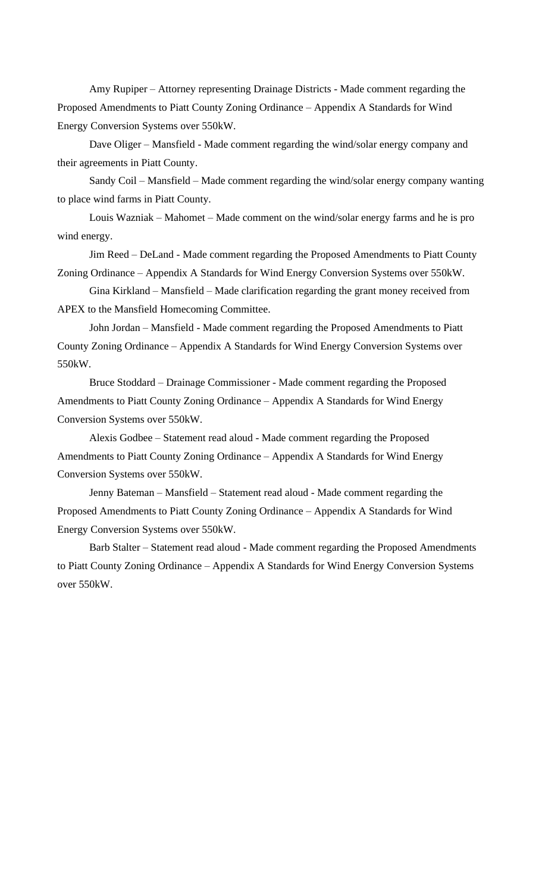Amy Rupiper – Attorney representing Drainage Districts - Made comment regarding the Proposed Amendments to Piatt County Zoning Ordinance – Appendix A Standards for Wind Energy Conversion Systems over 550kW.

Dave Oliger – Mansfield - Made comment regarding the wind/solar energy company and their agreements in Piatt County.

Sandy Coil – Mansfield – Made comment regarding the wind/solar energy company wanting to place wind farms in Piatt County.

Louis Wazniak – Mahomet – Made comment on the wind/solar energy farms and he is pro wind energy.

Jim Reed – DeLand - Made comment regarding the Proposed Amendments to Piatt County Zoning Ordinance – Appendix A Standards for Wind Energy Conversion Systems over 550kW.

Gina Kirkland – Mansfield – Made clarification regarding the grant money received from APEX to the Mansfield Homecoming Committee.

John Jordan – Mansfield - Made comment regarding the Proposed Amendments to Piatt County Zoning Ordinance – Appendix A Standards for Wind Energy Conversion Systems over 550kW.

Bruce Stoddard – Drainage Commissioner - Made comment regarding the Proposed Amendments to Piatt County Zoning Ordinance – Appendix A Standards for Wind Energy Conversion Systems over 550kW.

Alexis Godbee – Statement read aloud - Made comment regarding the Proposed Amendments to Piatt County Zoning Ordinance – Appendix A Standards for Wind Energy Conversion Systems over 550kW.

Jenny Bateman – Mansfield – Statement read aloud - Made comment regarding the Proposed Amendments to Piatt County Zoning Ordinance – Appendix A Standards for Wind Energy Conversion Systems over 550kW.

Barb Stalter – Statement read aloud - Made comment regarding the Proposed Amendments to Piatt County Zoning Ordinance – Appendix A Standards for Wind Energy Conversion Systems over 550kW.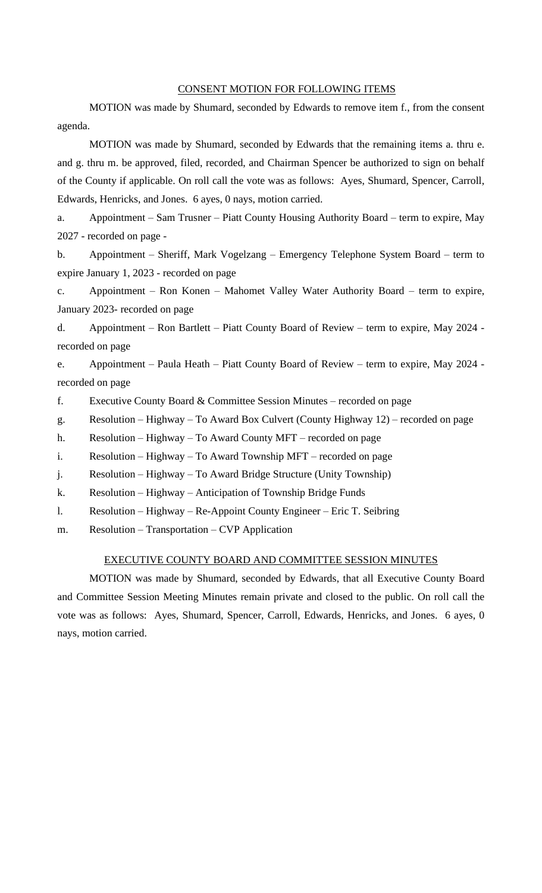## CONSENT MOTION FOR FOLLOWING ITEMS

MOTION was made by Shumard, seconded by Edwards to remove item f., from the consent agenda.

MOTION was made by Shumard, seconded by Edwards that the remaining items a. thru e. and g. thru m. be approved, filed, recorded, and Chairman Spencer be authorized to sign on behalf of the County if applicable. On roll call the vote was as follows: Ayes, Shumard, Spencer, Carroll, Edwards, Henricks, and Jones. 6 ayes, 0 nays, motion carried.

a. Appointment – Sam Trusner – Piatt County Housing Authority Board – term to expire, May 2027 - recorded on page -

b. Appointment – Sheriff, Mark Vogelzang – Emergency Telephone System Board – term to expire January 1, 2023 - recorded on page

c. Appointment – Ron Konen – Mahomet Valley Water Authority Board – term to expire, January 2023- recorded on page

d. Appointment – Ron Bartlett – Piatt County Board of Review – term to expire, May 2024 recorded on page

e. Appointment – Paula Heath – Piatt County Board of Review – term to expire, May 2024 recorded on page

f. Executive County Board  $&$  Committee Session Minutes – recorded on page

g. Resolution – Highway – To Award Box Culvert (County Highway 12) – recorded on page

h. Resolution – Highway – To Award County MFT – recorded on page

i. Resolution – Highway – To Award Township MFT – recorded on page

j. Resolution – Highway – To Award Bridge Structure (Unity Township)

k. Resolution – Highway – Anticipation of Township Bridge Funds

l. Resolution – Highway – Re-Appoint County Engineer – Eric T. Seibring

m. Resolution – Transportation – CVP Application

#### EXECUTIVE COUNTY BOARD AND COMMITTEE SESSION MINUTES

MOTION was made by Shumard, seconded by Edwards, that all Executive County Board and Committee Session Meeting Minutes remain private and closed to the public. On roll call the vote was as follows: Ayes, Shumard, Spencer, Carroll, Edwards, Henricks, and Jones. 6 ayes, 0 nays, motion carried.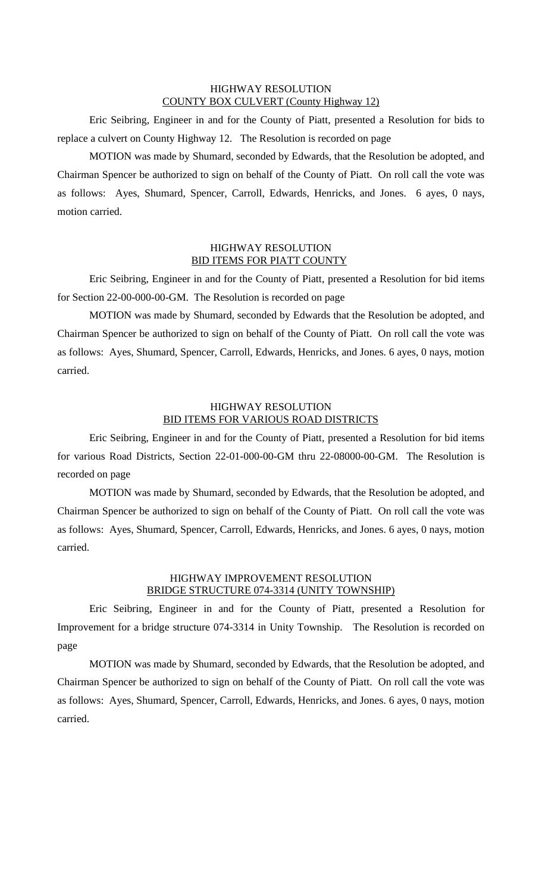# HIGHWAY RESOLUTION COUNTY BOX CULVERT (County Highway 12)

Eric Seibring, Engineer in and for the County of Piatt, presented a Resolution for bids to replace a culvert on County Highway 12. The Resolution is recorded on page

MOTION was made by Shumard, seconded by Edwards, that the Resolution be adopted, and Chairman Spencer be authorized to sign on behalf of the County of Piatt. On roll call the vote was as follows: Ayes, Shumard, Spencer, Carroll, Edwards, Henricks, and Jones. 6 ayes, 0 nays, motion carried.

## HIGHWAY RESOLUTION BID ITEMS FOR PIATT COUNTY

Eric Seibring, Engineer in and for the County of Piatt, presented a Resolution for bid items for Section 22-00-000-00-GM. The Resolution is recorded on page

MOTION was made by Shumard, seconded by Edwards that the Resolution be adopted, and Chairman Spencer be authorized to sign on behalf of the County of Piatt. On roll call the vote was as follows: Ayes, Shumard, Spencer, Carroll, Edwards, Henricks, and Jones. 6 ayes, 0 nays, motion carried.

# HIGHWAY RESOLUTION BID ITEMS FOR VARIOUS ROAD DISTRICTS

Eric Seibring, Engineer in and for the County of Piatt, presented a Resolution for bid items for various Road Districts, Section 22-01-000-00-GM thru 22-08000-00-GM. The Resolution is recorded on page

MOTION was made by Shumard, seconded by Edwards, that the Resolution be adopted, and Chairman Spencer be authorized to sign on behalf of the County of Piatt. On roll call the vote was as follows: Ayes, Shumard, Spencer, Carroll, Edwards, Henricks, and Jones. 6 ayes, 0 nays, motion carried.

# HIGHWAY IMPROVEMENT RESOLUTION BRIDGE STRUCTURE 074-3314 (UNITY TOWNSHIP)

Eric Seibring, Engineer in and for the County of Piatt, presented a Resolution for Improvement for a bridge structure 074-3314 in Unity Township. The Resolution is recorded on page

MOTION was made by Shumard, seconded by Edwards, that the Resolution be adopted, and Chairman Spencer be authorized to sign on behalf of the County of Piatt. On roll call the vote was as follows: Ayes, Shumard, Spencer, Carroll, Edwards, Henricks, and Jones. 6 ayes, 0 nays, motion carried.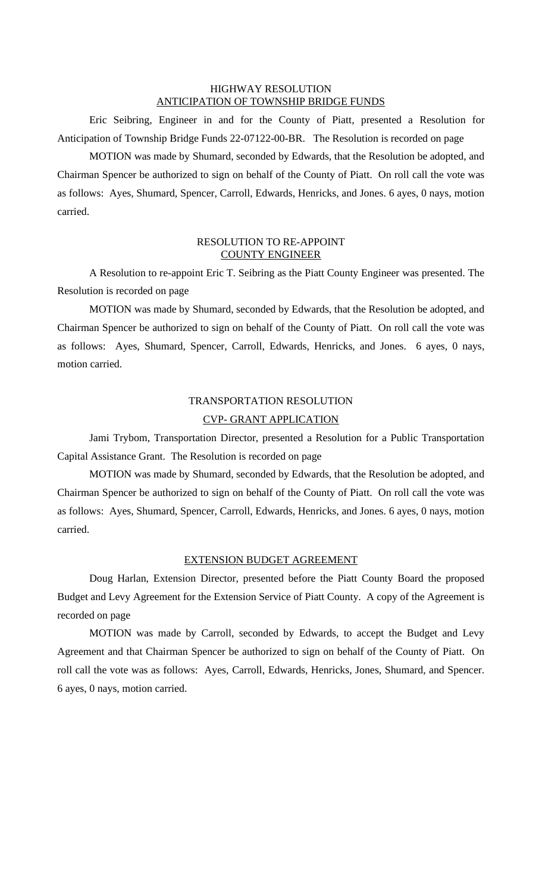#### HIGHWAY RESOLUTION ANTICIPATION OF TOWNSHIP BRIDGE FUNDS

Eric Seibring, Engineer in and for the County of Piatt, presented a Resolution for Anticipation of Township Bridge Funds 22-07122-00-BR. The Resolution is recorded on page

MOTION was made by Shumard, seconded by Edwards, that the Resolution be adopted, and Chairman Spencer be authorized to sign on behalf of the County of Piatt. On roll call the vote was as follows: Ayes, Shumard, Spencer, Carroll, Edwards, Henricks, and Jones. 6 ayes, 0 nays, motion carried.

# RESOLUTION TO RE-APPOINT COUNTY ENGINEER

A Resolution to re-appoint Eric T. Seibring as the Piatt County Engineer was presented. The Resolution is recorded on page

MOTION was made by Shumard, seconded by Edwards, that the Resolution be adopted, and Chairman Spencer be authorized to sign on behalf of the County of Piatt. On roll call the vote was as follows: Ayes, Shumard, Spencer, Carroll, Edwards, Henricks, and Jones. 6 ayes, 0 nays, motion carried.

# TRANSPORTATION RESOLUTION

# CVP- GRANT APPLICATION

Jami Trybom, Transportation Director, presented a Resolution for a Public Transportation Capital Assistance Grant. The Resolution is recorded on page

MOTION was made by Shumard, seconded by Edwards, that the Resolution be adopted, and Chairman Spencer be authorized to sign on behalf of the County of Piatt. On roll call the vote was as follows: Ayes, Shumard, Spencer, Carroll, Edwards, Henricks, and Jones. 6 ayes, 0 nays, motion carried.

# EXTENSION BUDGET AGREEMENT

Doug Harlan, Extension Director, presented before the Piatt County Board the proposed Budget and Levy Agreement for the Extension Service of Piatt County. A copy of the Agreement is recorded on page

MOTION was made by Carroll, seconded by Edwards, to accept the Budget and Levy Agreement and that Chairman Spencer be authorized to sign on behalf of the County of Piatt. On roll call the vote was as follows: Ayes, Carroll, Edwards, Henricks, Jones, Shumard, and Spencer. 6 ayes, 0 nays, motion carried.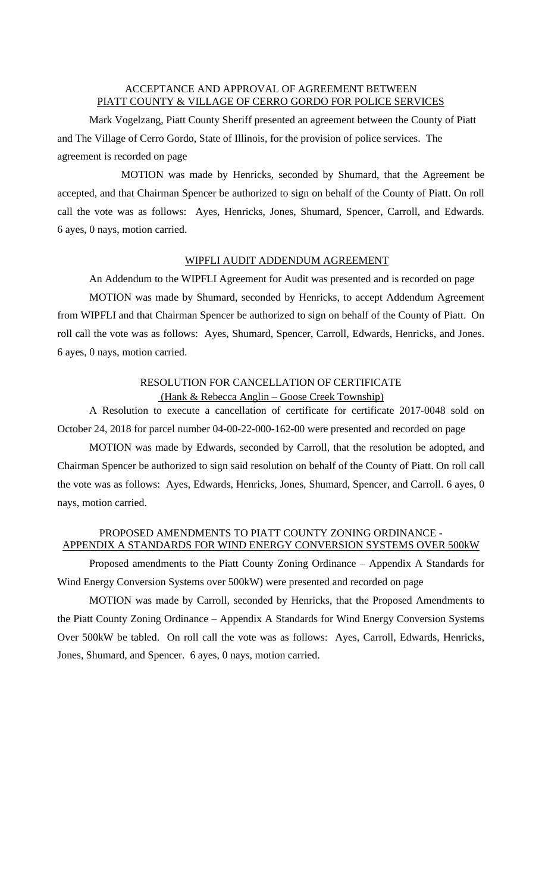# ACCEPTANCE AND APPROVAL OF AGREEMENT BETWEEN PIATT COUNTY & VILLAGE OF CERRO GORDO FOR POLICE SERVICES

Mark Vogelzang, Piatt County Sheriff presented an agreement between the County of Piatt and The Village of Cerro Gordo, State of Illinois, for the provision of police services. The agreement is recorded on page

MOTION was made by Henricks, seconded by Shumard, that the Agreement be accepted, and that Chairman Spencer be authorized to sign on behalf of the County of Piatt. On roll call the vote was as follows: Ayes, Henricks, Jones, Shumard, Spencer, Carroll, and Edwards. 6 ayes, 0 nays, motion carried.

# WIPFLI AUDIT ADDENDUM AGREEMENT

An Addendum to the WIPFLI Agreement for Audit was presented and is recorded on page

MOTION was made by Shumard, seconded by Henricks, to accept Addendum Agreement from WIPFLI and that Chairman Spencer be authorized to sign on behalf of the County of Piatt. On roll call the vote was as follows: Ayes, Shumard, Spencer, Carroll, Edwards, Henricks, and Jones. 6 ayes, 0 nays, motion carried.

# RESOLUTION FOR CANCELLATION OF CERTIFICATE (Hank & Rebecca Anglin – Goose Creek Township)

A Resolution to execute a cancellation of certificate for certificate 2017-0048 sold on October 24, 2018 for parcel number 04-00-22-000-162-00 were presented and recorded on page

MOTION was made by Edwards, seconded by Carroll, that the resolution be adopted, and Chairman Spencer be authorized to sign said resolution on behalf of the County of Piatt. On roll call the vote was as follows: Ayes, Edwards, Henricks, Jones, Shumard, Spencer, and Carroll. 6 ayes, 0 nays, motion carried.

# PROPOSED AMENDMENTS TO PIATT COUNTY ZONING ORDINANCE - APPENDIX A STANDARDS FOR WIND ENERGY CONVERSION SYSTEMS OVER 500kW

Proposed amendments to the Piatt County Zoning Ordinance – Appendix A Standards for Wind Energy Conversion Systems over 500kW) were presented and recorded on page

MOTION was made by Carroll, seconded by Henricks, that the Proposed Amendments to the Piatt County Zoning Ordinance – Appendix A Standards for Wind Energy Conversion Systems Over 500kW be tabled. On roll call the vote was as follows: Ayes, Carroll, Edwards, Henricks, Jones, Shumard, and Spencer. 6 ayes, 0 nays, motion carried.